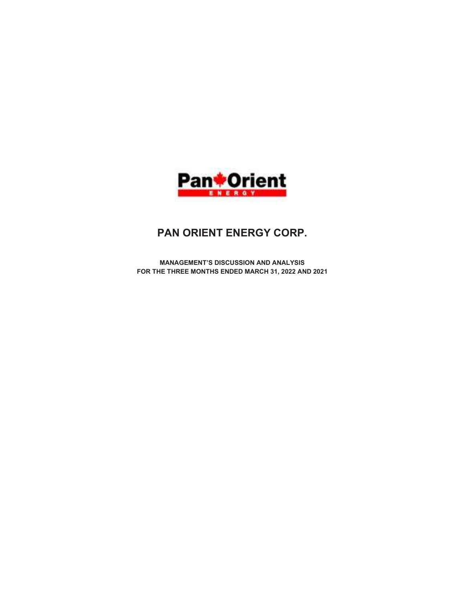

# PAN ORIENT ENERGY CORP.

MANAGEMENT'S DISCUSSION AND ANALYSIS FOR THE THREE MONTHS ENDED MARCH 31, 2022 AND 2021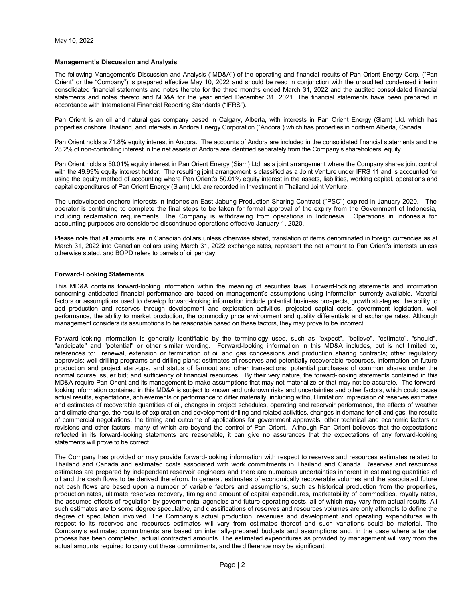#### Management's Discussion and Analysis

The following Management's Discussion and Analysis ("MD&A") of the operating and financial results of Pan Orient Energy Corp. ("Pan Orient" or the "Company") is prepared effective May 10, 2022 and should be read in conjunction with the unaudited condensed interim consolidated financial statements and notes thereto for the three months ended March 31, 2022 and the audited consolidated financial statements and notes thereto and MD&A for the year ended December 31, 2021. The financial statements have been prepared in accordance with International Financial Reporting Standards ("IFRS").

Pan Orient is an oil and natural gas company based in Calgary, Alberta, with interests in Pan Orient Energy (Siam) Ltd. which has properties onshore Thailand, and interests in Andora Energy Corporation ("Andora") which has properties in northern Alberta, Canada.

Pan Orient holds a 71.8% equity interest in Andora. The accounts of Andora are included in the consolidated financial statements and the 28.2% of non-controlling interest in the net assets of Andora are identified separately from the Company's shareholders' equity.

Pan Orient holds a 50.01% equity interest in Pan Orient Energy (Siam) Ltd. as a joint arrangement where the Company shares joint control with the 49.99% equity interest holder. The resulting joint arrangement is classified as a Joint Venture under IFRS 11 and is accounted for using the equity method of accounting where Pan Orient's 50.01% equity interest in the assets, liabilities, working capital, operations and capital expenditures of Pan Orient Energy (Siam) Ltd. are recorded in Investment in Thailand Joint Venture.

The undeveloped onshore interests in Indonesian East Jabung Production Sharing Contract ("PSC") expired in January 2020. The operator is continuing to complete the final steps to be taken for formal approval of the expiry from the Government of Indonesia, including reclamation requirements. The Company is withdrawing from operations in Indonesia. Operations in Indonesia for accounting purposes are considered discontinued operations effective January 1, 2020.

Please note that all amounts are in Canadian dollars unless otherwise stated, translation of items denominated in foreign currencies as at March 31, 2022 into Canadian dollars using March 31, 2022 exchange rates, represent the net amount to Pan Orient's interests unless otherwise stated, and BOPD refers to barrels of oil per day.

## Forward-Looking Statements

This MD&A contains forward-looking information within the meaning of securities laws. Forward-looking statements and information concerning anticipated financial performance are based on management's assumptions using information currently available. Material factors or assumptions used to develop forward-looking information include potential business prospects, growth strategies, the ability to add production and reserves through development and exploration activities, projected capital costs, government legislation, well performance, the ability to market production, the commodity price environment and quality differentials and exchange rates. Although management considers its assumptions to be reasonable based on these factors, they may prove to be incorrect.

Forward-looking information is generally identifiable by the terminology used, such as "expect", "believe", "estimate", "should", "anticipate" and "potential" or other similar wording. Forward-looking information in this MD&A includes, but is not limited to, references to: renewal, extension or termination of oil and gas concessions and production sharing contracts; other regulatory approvals; well drilling programs and drilling plans; estimates of reserves and potentially recoverable resources, information on future production and project start-ups, and status of farmout and other transactions; potential purchases of common shares under the normal course issuer bid; and sufficiency of financial resources. By their very nature, the forward-looking statements contained in this MD&A require Pan Orient and its management to make assumptions that may not materialize or that may not be accurate. The forwardlooking information contained in this MD&A is subject to known and unknown risks and uncertainties and other factors, which could cause actual results, expectations, achievements or performance to differ materially, including without limitation: imprecision of reserves estimates and estimates of recoverable quantities of oil, changes in project schedules, operating and reservoir performance, the effects of weather and climate change, the results of exploration and development drilling and related activities, changes in demand for oil and gas, the results of commercial negotiations, the timing and outcome of applications for government approvals, other technical and economic factors or revisions and other factors, many of which are beyond the control of Pan Orient. Although Pan Orient believes that the expectations reflected in its forward-looking statements are reasonable, it can give no assurances that the expectations of any forward-looking statements will prove to be correct.

The Company has provided or may provide forward-looking information with respect to reserves and resources estimates related to Thailand and Canada and estimated costs associated with work commitments in Thailand and Canada. Reserves and resources estimates are prepared by independent reservoir engineers and there are numerous uncertainties inherent in estimating quantities of oil and the cash flows to be derived therefrom. In general, estimates of economically recoverable volumes and the associated future net cash flows are based upon a number of variable factors and assumptions, such as historical production from the properties, production rates, ultimate reserves recovery, timing and amount of capital expenditures, marketability of commodities, royalty rates, the assumed effects of regulation by governmental agencies and future operating costs, all of which may vary from actual results. All such estimates are to some degree speculative, and classifications of reserves and resources volumes are only attempts to define the degree of speculation involved. The Company's actual production, revenues and development and operating expenditures with respect to its reserves and resources estimates will vary from estimates thereof and such variations could be material. The Company's estimated commitments are based on internally-prepared budgets and assumptions and, in the case where a tender process has been completed, actual contracted amounts. The estimated expenditures as provided by management will vary from the actual amounts required to carry out these commitments, and the difference may be significant.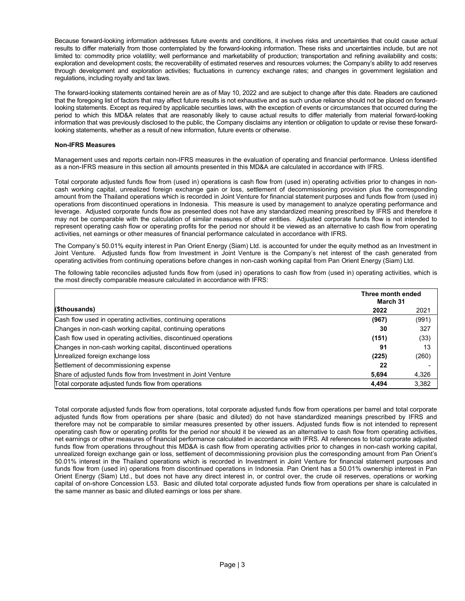Because forward-looking information addresses future events and conditions, it involves risks and uncertainties that could cause actual results to differ materially from those contemplated by the forward-looking information. These risks and uncertainties include, but are not limited to: commodity price volatility; well performance and marketability of production; transportation and refining availability and costs; exploration and development costs; the recoverability of estimated reserves and resources volumes; the Company's ability to add reserves through development and exploration activities; fluctuations in currency exchange rates; and changes in government legislation and regulations, including royalty and tax laws.

The forward-looking statements contained herein are as of May 10, 2022 and are subject to change after this date. Readers are cautioned that the foregoing list of factors that may affect future results is not exhaustive and as such undue reliance should not be placed on forwardlooking statements. Except as required by applicable securities laws, with the exception of events or circumstances that occurred during the period to which this MD&A relates that are reasonably likely to cause actual results to differ materially from material forward-looking information that was previously disclosed to the public, the Company disclaims any intention or obligation to update or revise these forwardlooking statements, whether as a result of new information, future events or otherwise.

# Non-IFRS Measures

Management uses and reports certain non-IFRS measures in the evaluation of operating and financial performance. Unless identified as a non-IFRS measure in this section all amounts presented in this MD&A are calculated in accordance with IFRS.

Total corporate adjusted funds flow from (used in) operations is cash flow from (used in) operating activities prior to changes in noncash working capital, unrealized foreign exchange gain or loss, settlement of decommissioning provision plus the corresponding amount from the Thailand operations which is recorded in Joint Venture for financial statement purposes and funds flow from (used in) operations from discontinued operations in Indonesia. This measure is used by management to analyze operating performance and leverage. Adjusted corporate funds flow as presented does not have any standardized meaning prescribed by IFRS and therefore it may not be comparable with the calculation of similar measures of other entities. Adjusted corporate funds flow is not intended to represent operating cash flow or operating profits for the period nor should it be viewed as an alternative to cash flow from operating activities, net earnings or other measures of financial performance calculated in accordance with IFRS.

The Company's 50.01% equity interest in Pan Orient Energy (Siam) Ltd. is accounted for under the equity method as an Investment in Joint Venture. Adjusted funds flow from Investment in Joint Venture is the Company's net interest of the cash generated from operating activities from continuing operations before changes in non-cash working capital from Pan Orient Energy (Siam) Ltd.

The following table reconciles adjusted funds flow from (used in) operations to cash flow from (used in) operating activities, which is the most directly comparable measure calculated in accordance with IFRS:

|                                                                 | Three month ended<br>March 31 |       |  |  |
|-----------------------------------------------------------------|-------------------------------|-------|--|--|
| (\$thousands)                                                   | 2022                          | 2021  |  |  |
| Cash flow used in operating activities, continuing operations   | (967)                         | (991) |  |  |
| Changes in non-cash working capital, continuing operations      | 30                            | 327   |  |  |
| Cash flow used in operating activities, discontinued operations | (151)                         | (33)  |  |  |
| Changes in non-cash working capital, discontinued operations    | 91                            | 13    |  |  |
| Unrealized foreign exchange loss                                | (225)                         | (260) |  |  |
| Settlement of decommissioning expense                           | 22                            |       |  |  |
| Share of adjusted funds flow from Investment in Joint Venture   | 5,694                         | 4,326 |  |  |
| Total corporate adjusted funds flow from operations             | 4.494                         | 3,382 |  |  |

Total corporate adjusted funds flow from operations, total corporate adjusted funds flow from operations per barrel and total corporate adjusted funds flow from operations per share (basic and diluted) do not have standardized meanings prescribed by IFRS and therefore may not be comparable to similar measures presented by other issuers. Adjusted funds flow is not intended to represent operating cash flow or operating profits for the period nor should it be viewed as an alternative to cash flow from operating activities, net earnings or other measures of financial performance calculated in accordance with IFRS. All references to total corporate adjusted funds flow from operations throughout this MD&A is cash flow from operating activities prior to changes in non-cash working capital, unrealized foreign exchange gain or loss, settlement of decommissioning provision plus the corresponding amount from Pan Orient's 50.01% interest in the Thailand operations which is recorded in Investment in Joint Venture for financial statement purposes and funds flow from (used in) operations from discontinued operations in Indonesia. Pan Orient has a 50.01% ownership interest in Pan Orient Energy (Siam) Ltd., but does not have any direct interest in, or control over, the crude oil reserves, operations or working capital of on-shore Concession L53. Basic and diluted total corporate adjusted funds flow from operations per share is calculated in the same manner as basic and diluted earnings or loss per share.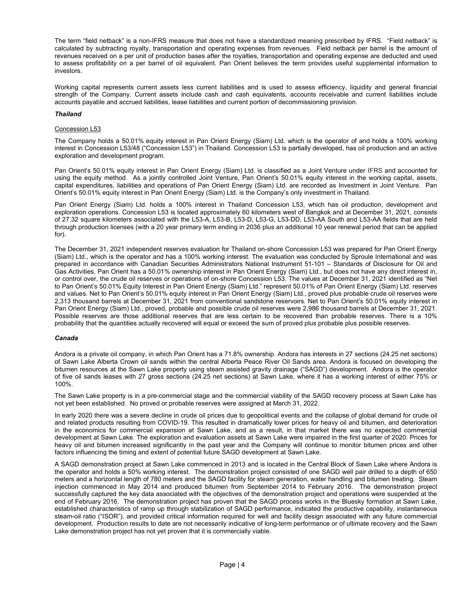The term "field netback" is a non-IFRS measure that does not have a standardized meaning prescribed by IFRS. "Field netback" is calculated by subtracting royalty, transportation and operating expenses from revenues. Field netback per barrel is the amount of revenues received on a per unit of production bases after the royalties, transportation and operating expense are deducted and used to assess profitability on a per barrel of oil equivalent. Pan Orient believes the term provides useful supplemental information to investors.

Working capital represents current assets less current liabilities and is used to assess efficiency, liquidity and general financial strength of the Company. Current assets include cash and cash equivalents, accounts receivable and current liabilities include accounts payable and accrued liabilities, lease liabilities and current portion of decommissioning provision.

# Thailand

# Concession L53

The Company holds a 50.01% equity interest in Pan Orient Energy (Siam) Ltd. which is the operator of and holds a 100% working interest in Concession L53/48 ("Concession L53") in Thailand. Concession L53 is partially developed, has oil production and an active exploration and development program.

Pan Orient's 50.01% equity interest in Pan Orient Energy (Siam) Ltd. is classified as a Joint Venture under IFRS and accounted for using the equity method. As a jointly controlled Joint Venture, Pan Orient's 50.01% equity interest in the working capital, assets, capital expenditures, liabilities and operations of Pan Orient Energy (Siam) Ltd. are recorded as Investment in Joint Venture. Pan Orient's 50.01% equity interest in Pan Orient Energy (Siam) Ltd. is the Company's only investment in Thailand.

Pan Orient Energy (Siam) Ltd. holds a 100% interest in Thailand Concession L53, which has oil production, development and exploration operations. Concession L53 is located approximately 60 kilometers west of Bangkok and at December 31, 2021, consists of 27.32 square kilometers associated with the L53-A, L53-B, L53-D, L53-G, L53-DD, L53-AA South and L53-AA fields that are held through production licenses (with a 20 year primary term ending in 2036 plus an additional 10 year renewal period that can be applied for).

The December 31, 2021 independent reserves evaluation for Thailand on-shore Concession L53 was prepared for Pan Orient Energy (Siam) Ltd., which is the operator and has a 100% working interest. The evaluation was conducted by Sproule International and was prepared in accordance with Canadian Securities Administrators National Instrument 51-101 – Standards of Disclosure for Oil and Gas Activities. Pan Orient has a 50.01% ownership interest in Pan Orient Energy (Siam) Ltd., but does not have any direct interest in, or control over, the crude oil reserves or operations of on-shore Concession L53. The values at December 31, 2021 identified as "Net to Pan Orient's 50.01% Equity Interest in Pan Orient Energy (Siam) Ltd." represent 50.01% of Pan Orient Energy (Siam) Ltd. reserves and values. Net to Pan Orient's 50.01% equity interest in Pan Orient Energy (Siam) Ltd., proved plus probable crude oil reserves were 2,313 thousand barrels at December 31, 2021 from conventional sandstone reservoirs. Net to Pan Orient's 50.01% equity interest in Pan Orient Energy (Siam) Ltd., proved, probable and possible crude oil reserves were 2,986 thousand barrels at December 31, 2021. Possible reserves are those additional reserves that are less certain to be recovered than probable reserves. There is a 10% probability that the quantities actually recovered will equal or exceed the sum of proved plus probable plus possible reserves.

## Canada

Andora is a private oil company, in which Pan Orient has a 71.8% ownership. Andora has interests in 27 sections (24.25 net sections) of Sawn Lake Alberta Crown oil sands within the central Alberta Peace River Oil Sands area. Andora is focused on developing the bitumen resources at the Sawn Lake property using steam assisted gravity drainage ("SAGD") development. Andora is the operator of five oil sands leases with 27 gross sections (24.25 net sections) at Sawn Lake, where it has a working interest of either 75% or 100%.

The Sawn Lake property is in a pre-commercial stage and the commercial viability of the SAGD recovery process at Sawn Lake has not yet been established. No proved or probable reserves were assigned at March 31, 2022.

In early 2020 there was a severe decline in crude oil prices due to geopolitical events and the collapse of global demand for crude oil and related products resulting from COVID-19. This resulted in dramatically lower prices for heavy oil and bitumen, and deterioration in the economics for commercial expansion at Sawn Lake, and as a result, in that market there was no expected commercial development at Sawn Lake. The exploration and evaluation assets at Sawn Lake were impaired in the first quarter of 2020. Prices for heavy oil and bitumen increased significantly in the past year and the Company will continue to monitor bitumen prices and other factors influencing the timing and extent of potential future SAGD development at Sawn Lake.

A SAGD demonstration project at Sawn Lake commenced in 2013 and is located in the Central Block of Sawn Lake where Andora is the operator and holds a 50% working interest. The demonstration project consisted of one SAGD well pair drilled to a depth of 650 meters and a horizontal length of 780 meters and the SAGD facility for steam generation, water handling and bitumen treating. Steam injection commenced in May 2014 and produced bitumen from September 2014 to February 2016. The demonstration project successfully captured the key data associated with the objectives of the demonstration project and operations were suspended at the end of February 2016. The demonstration project has proven that the SAGD process works in the Bluesky formation at Sawn Lake, established characteristics of ramp up through stabilization of SAGD performance, indicated the productive capability, instantaneous steam-oil ratio ("ISOR"), and provided critical information required for well and facility design associated with any future commercial development. Production results to date are not necessarily indicative of long-term performance or of ultimate recovery and the Sawn Lake demonstration project has not yet proven that it is commercially viable.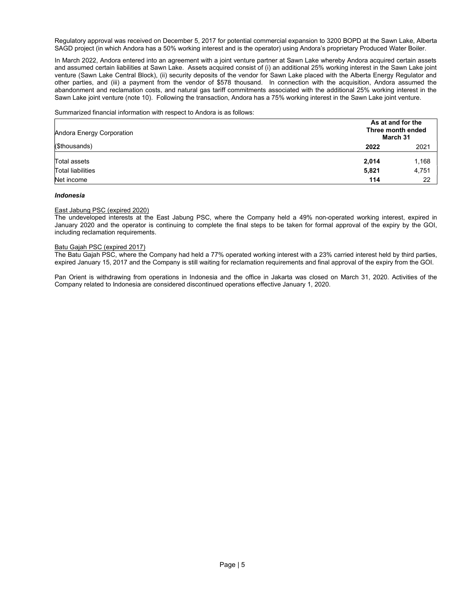Regulatory approval was received on December 5, 2017 for potential commercial expansion to 3200 BOPD at the Sawn Lake, Alberta SAGD project (in which Andora has a 50% working interest and is the operator) using Andora's proprietary Produced Water Boiler.

In March 2022, Andora entered into an agreement with a joint venture partner at Sawn Lake whereby Andora acquired certain assets and assumed certain liabilities at Sawn Lake. Assets acquired consist of (i) an additional 25% working interest in the Sawn Lake joint venture (Sawn Lake Central Block), (ii) security deposits of the vendor for Sawn Lake placed with the Alberta Energy Regulator and other parties, and (iii) a payment from the vendor of \$578 thousand. In connection with the acquisition, Andora assumed the abandonment and reclamation costs, and natural gas tariff commitments associated with the additional 25% working interest in the Sawn Lake joint venture (note 10). Following the transaction, Andora has a 75% working interest in the Sawn Lake joint venture.

### Summarized financial information with respect to Andora is as follows:

| Andora Energy Corporation                | As at and for the<br>Three month ended<br>March 31 |                |
|------------------------------------------|----------------------------------------------------|----------------|
| (\$thousands)                            | 2022                                               | 2021           |
| Total assets<br><b>Total liabilities</b> | 2,014<br>5,821                                     | 1,168<br>4,751 |
| Net income                               | 114                                                | 22             |

#### Indonesia

#### East Jabung PSC (expired 2020)

The undeveloped interests at the East Jabung PSC, where the Company held a 49% non-operated working interest, expired in January 2020 and the operator is continuing to complete the final steps to be taken for formal approval of the expiry by the GOI, including reclamation requirements.

### Batu Gajah PSC (expired 2017)

The Batu Gajah PSC, where the Company had held a 77% operated working interest with a 23% carried interest held by third parties, expired January 15, 2017 and the Company is still waiting for reclamation requirements and final approval of the expiry from the GOI.

Pan Orient is withdrawing from operations in Indonesia and the office in Jakarta was closed on March 31, 2020. Activities of the Company related to Indonesia are considered discontinued operations effective January 1, 2020.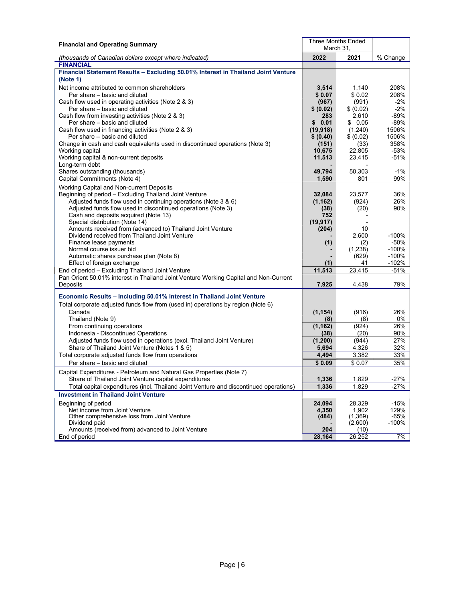| March 31.<br>2022<br>2021<br>% Change<br>(thousands of Canadian dollars except where indicated)<br><b>FINANCIAL</b><br>Financial Statement Results - Excluding 50.01% Interest in Thailand Joint Venture<br>(Note 1)<br>Net income attributed to common shareholders<br>3,514<br>1,140<br>208%<br>208%<br>Per share – basic and diluted<br>\$0.07<br>\$0.02<br>(991)<br>$-2%$<br>Cash flow used in operating activities (Note 2 & 3)<br>(967)<br>$-2%$<br>Per share - basic and diluted<br>\$ (0.02)<br>\$ (0.02)<br>-89%<br>Cash flow from investing activities (Note 2 & 3)<br>283<br>2,610<br>Per share - basic and diluted<br>0.01<br>\$0.05<br>-89%<br>\$<br>Cash flow used in financing activities (Note 2 & 3)<br>(1,240)<br>1506%<br>(19, 918)<br>Per share - basic and diluted<br>\$ (0.02)<br>1506%<br>\$ (0.40)<br>358%<br>Change in cash and cash equivalents used in discontinued operations (Note 3)<br>(151)<br>(33)<br>22,805<br>-53%<br>Working capital<br>10,675<br>$-51%$<br>Working capital & non-current deposits<br>11,513<br>23,415<br>Long-term debt<br>Shares outstanding (thousands)<br>49,794<br>50,303<br>$-1%$<br>Capital Commitments (Note 4)<br>1,590<br>801<br>99%<br>Working Capital and Non-current Deposits<br>Beginning of period - Excluding Thailand Joint Venture<br>32.084<br>23,577<br>36%<br>Adjusted funds flow used in continuing operations (Note 3 & 6)<br>(924)<br>26%<br>(1, 162)<br>Adjusted funds flow used in discontinued operations (Note 3)<br>(20)<br>90%<br>(38)<br>Cash and deposits acquired (Note 13)<br>752<br>Special distribution (Note 14)<br>(19, 917)<br>Amounts received from (advanced to) Thailand Joint Venture<br>10<br>(204)<br>Dividend received from Thailand Joint Venture<br>2,600<br>$-100%$<br>$-50%$<br>Finance lease payments<br>(1)<br>(2)<br>Normal course issuer bid<br>(1,238)<br>$-100%$<br>$-100%$<br>Automatic shares purchase plan (Note 8)<br>(629)<br>$-102%$<br>Effect of foreign exchange<br>(1)<br>41<br>23,415<br>End of period - Excluding Thailand Joint Venture<br>11,513<br>$-51%$<br>Pan Orient 50.01% interest in Thailand Joint Venture Working Capital and Non-Current<br>Deposits<br>7,925<br>4,438<br>79%<br>Economic Results - Including 50.01% Interest in Thailand Joint Venture<br>Total corporate adjusted funds flow from (used in) operations by region (Note 6)<br>Canada<br>(1, 154)<br>(916)<br>26%<br>(8)<br>0%<br>Thailand (Note 9)<br>(8)<br>26%<br>From continuing operations<br>(924)<br>(1, 162)<br>Indonesia - Discontinued Operations<br>90%<br>(38)<br>(20)<br>27%<br>Adjusted funds flow used in operations (excl. Thailand Joint Venture)<br>(1, 200)<br>(944)<br>32%<br>Share of Thailand Joint Venture (Notes 1 & 5)<br>4,326<br>5,694<br>3,382<br>33%<br>Total corporate adjusted funds flow from operations<br>4,494<br>Per share - basic and diluted<br>\$0.07<br>35%<br>\$0.09<br>Capital Expenditures - Petroleum and Natural Gas Properties (Note 7)<br>$-27%$<br>Share of Thailand Joint Venture capital expenditures<br>1,336<br>1,829<br>$-27%$<br>1,336<br>1,829<br>Total capital expenditures (incl. Thailand Joint Venture and discontinued operations)<br><b>Investment in Thailand Joint Venture</b> | <b>Financial and Operating Summary</b> |  | <b>Three Months Ended</b> |  |  |
|--------------------------------------------------------------------------------------------------------------------------------------------------------------------------------------------------------------------------------------------------------------------------------------------------------------------------------------------------------------------------------------------------------------------------------------------------------------------------------------------------------------------------------------------------------------------------------------------------------------------------------------------------------------------------------------------------------------------------------------------------------------------------------------------------------------------------------------------------------------------------------------------------------------------------------------------------------------------------------------------------------------------------------------------------------------------------------------------------------------------------------------------------------------------------------------------------------------------------------------------------------------------------------------------------------------------------------------------------------------------------------------------------------------------------------------------------------------------------------------------------------------------------------------------------------------------------------------------------------------------------------------------------------------------------------------------------------------------------------------------------------------------------------------------------------------------------------------------------------------------------------------------------------------------------------------------------------------------------------------------------------------------------------------------------------------------------------------------------------------------------------------------------------------------------------------------------------------------------------------------------------------------------------------------------------------------------------------------------------------------------------------------------------------------------------------------------------------------------------------------------------------------------------------------------------------------------------------------------------------------------------------------------------------------------------------------------------------------------------------------------------------------------------------------------------------------------------------------------------------------------------------------------------------------------------------------------------------------------------------------------------------------------------------------------------------------------------------------------------------------------------------------------------------------------------------------------------------------------------------------------|----------------------------------------|--|---------------------------|--|--|
|                                                                                                                                                                                                                                                                                                                                                                                                                                                                                                                                                                                                                                                                                                                                                                                                                                                                                                                                                                                                                                                                                                                                                                                                                                                                                                                                                                                                                                                                                                                                                                                                                                                                                                                                                                                                                                                                                                                                                                                                                                                                                                                                                                                                                                                                                                                                                                                                                                                                                                                                                                                                                                                                                                                                                                                                                                                                                                                                                                                                                                                                                                                                                                                                                                                  |                                        |  |                           |  |  |
|                                                                                                                                                                                                                                                                                                                                                                                                                                                                                                                                                                                                                                                                                                                                                                                                                                                                                                                                                                                                                                                                                                                                                                                                                                                                                                                                                                                                                                                                                                                                                                                                                                                                                                                                                                                                                                                                                                                                                                                                                                                                                                                                                                                                                                                                                                                                                                                                                                                                                                                                                                                                                                                                                                                                                                                                                                                                                                                                                                                                                                                                                                                                                                                                                                                  |                                        |  |                           |  |  |
|                                                                                                                                                                                                                                                                                                                                                                                                                                                                                                                                                                                                                                                                                                                                                                                                                                                                                                                                                                                                                                                                                                                                                                                                                                                                                                                                                                                                                                                                                                                                                                                                                                                                                                                                                                                                                                                                                                                                                                                                                                                                                                                                                                                                                                                                                                                                                                                                                                                                                                                                                                                                                                                                                                                                                                                                                                                                                                                                                                                                                                                                                                                                                                                                                                                  |                                        |  |                           |  |  |
|                                                                                                                                                                                                                                                                                                                                                                                                                                                                                                                                                                                                                                                                                                                                                                                                                                                                                                                                                                                                                                                                                                                                                                                                                                                                                                                                                                                                                                                                                                                                                                                                                                                                                                                                                                                                                                                                                                                                                                                                                                                                                                                                                                                                                                                                                                                                                                                                                                                                                                                                                                                                                                                                                                                                                                                                                                                                                                                                                                                                                                                                                                                                                                                                                                                  |                                        |  |                           |  |  |
|                                                                                                                                                                                                                                                                                                                                                                                                                                                                                                                                                                                                                                                                                                                                                                                                                                                                                                                                                                                                                                                                                                                                                                                                                                                                                                                                                                                                                                                                                                                                                                                                                                                                                                                                                                                                                                                                                                                                                                                                                                                                                                                                                                                                                                                                                                                                                                                                                                                                                                                                                                                                                                                                                                                                                                                                                                                                                                                                                                                                                                                                                                                                                                                                                                                  |                                        |  |                           |  |  |
|                                                                                                                                                                                                                                                                                                                                                                                                                                                                                                                                                                                                                                                                                                                                                                                                                                                                                                                                                                                                                                                                                                                                                                                                                                                                                                                                                                                                                                                                                                                                                                                                                                                                                                                                                                                                                                                                                                                                                                                                                                                                                                                                                                                                                                                                                                                                                                                                                                                                                                                                                                                                                                                                                                                                                                                                                                                                                                                                                                                                                                                                                                                                                                                                                                                  |                                        |  |                           |  |  |
|                                                                                                                                                                                                                                                                                                                                                                                                                                                                                                                                                                                                                                                                                                                                                                                                                                                                                                                                                                                                                                                                                                                                                                                                                                                                                                                                                                                                                                                                                                                                                                                                                                                                                                                                                                                                                                                                                                                                                                                                                                                                                                                                                                                                                                                                                                                                                                                                                                                                                                                                                                                                                                                                                                                                                                                                                                                                                                                                                                                                                                                                                                                                                                                                                                                  |                                        |  |                           |  |  |
|                                                                                                                                                                                                                                                                                                                                                                                                                                                                                                                                                                                                                                                                                                                                                                                                                                                                                                                                                                                                                                                                                                                                                                                                                                                                                                                                                                                                                                                                                                                                                                                                                                                                                                                                                                                                                                                                                                                                                                                                                                                                                                                                                                                                                                                                                                                                                                                                                                                                                                                                                                                                                                                                                                                                                                                                                                                                                                                                                                                                                                                                                                                                                                                                                                                  |                                        |  |                           |  |  |
|                                                                                                                                                                                                                                                                                                                                                                                                                                                                                                                                                                                                                                                                                                                                                                                                                                                                                                                                                                                                                                                                                                                                                                                                                                                                                                                                                                                                                                                                                                                                                                                                                                                                                                                                                                                                                                                                                                                                                                                                                                                                                                                                                                                                                                                                                                                                                                                                                                                                                                                                                                                                                                                                                                                                                                                                                                                                                                                                                                                                                                                                                                                                                                                                                                                  |                                        |  |                           |  |  |
|                                                                                                                                                                                                                                                                                                                                                                                                                                                                                                                                                                                                                                                                                                                                                                                                                                                                                                                                                                                                                                                                                                                                                                                                                                                                                                                                                                                                                                                                                                                                                                                                                                                                                                                                                                                                                                                                                                                                                                                                                                                                                                                                                                                                                                                                                                                                                                                                                                                                                                                                                                                                                                                                                                                                                                                                                                                                                                                                                                                                                                                                                                                                                                                                                                                  |                                        |  |                           |  |  |
|                                                                                                                                                                                                                                                                                                                                                                                                                                                                                                                                                                                                                                                                                                                                                                                                                                                                                                                                                                                                                                                                                                                                                                                                                                                                                                                                                                                                                                                                                                                                                                                                                                                                                                                                                                                                                                                                                                                                                                                                                                                                                                                                                                                                                                                                                                                                                                                                                                                                                                                                                                                                                                                                                                                                                                                                                                                                                                                                                                                                                                                                                                                                                                                                                                                  |                                        |  |                           |  |  |
|                                                                                                                                                                                                                                                                                                                                                                                                                                                                                                                                                                                                                                                                                                                                                                                                                                                                                                                                                                                                                                                                                                                                                                                                                                                                                                                                                                                                                                                                                                                                                                                                                                                                                                                                                                                                                                                                                                                                                                                                                                                                                                                                                                                                                                                                                                                                                                                                                                                                                                                                                                                                                                                                                                                                                                                                                                                                                                                                                                                                                                                                                                                                                                                                                                                  |                                        |  |                           |  |  |
|                                                                                                                                                                                                                                                                                                                                                                                                                                                                                                                                                                                                                                                                                                                                                                                                                                                                                                                                                                                                                                                                                                                                                                                                                                                                                                                                                                                                                                                                                                                                                                                                                                                                                                                                                                                                                                                                                                                                                                                                                                                                                                                                                                                                                                                                                                                                                                                                                                                                                                                                                                                                                                                                                                                                                                                                                                                                                                                                                                                                                                                                                                                                                                                                                                                  |                                        |  |                           |  |  |
|                                                                                                                                                                                                                                                                                                                                                                                                                                                                                                                                                                                                                                                                                                                                                                                                                                                                                                                                                                                                                                                                                                                                                                                                                                                                                                                                                                                                                                                                                                                                                                                                                                                                                                                                                                                                                                                                                                                                                                                                                                                                                                                                                                                                                                                                                                                                                                                                                                                                                                                                                                                                                                                                                                                                                                                                                                                                                                                                                                                                                                                                                                                                                                                                                                                  |                                        |  |                           |  |  |
|                                                                                                                                                                                                                                                                                                                                                                                                                                                                                                                                                                                                                                                                                                                                                                                                                                                                                                                                                                                                                                                                                                                                                                                                                                                                                                                                                                                                                                                                                                                                                                                                                                                                                                                                                                                                                                                                                                                                                                                                                                                                                                                                                                                                                                                                                                                                                                                                                                                                                                                                                                                                                                                                                                                                                                                                                                                                                                                                                                                                                                                                                                                                                                                                                                                  |                                        |  |                           |  |  |
|                                                                                                                                                                                                                                                                                                                                                                                                                                                                                                                                                                                                                                                                                                                                                                                                                                                                                                                                                                                                                                                                                                                                                                                                                                                                                                                                                                                                                                                                                                                                                                                                                                                                                                                                                                                                                                                                                                                                                                                                                                                                                                                                                                                                                                                                                                                                                                                                                                                                                                                                                                                                                                                                                                                                                                                                                                                                                                                                                                                                                                                                                                                                                                                                                                                  |                                        |  |                           |  |  |
|                                                                                                                                                                                                                                                                                                                                                                                                                                                                                                                                                                                                                                                                                                                                                                                                                                                                                                                                                                                                                                                                                                                                                                                                                                                                                                                                                                                                                                                                                                                                                                                                                                                                                                                                                                                                                                                                                                                                                                                                                                                                                                                                                                                                                                                                                                                                                                                                                                                                                                                                                                                                                                                                                                                                                                                                                                                                                                                                                                                                                                                                                                                                                                                                                                                  |                                        |  |                           |  |  |
|                                                                                                                                                                                                                                                                                                                                                                                                                                                                                                                                                                                                                                                                                                                                                                                                                                                                                                                                                                                                                                                                                                                                                                                                                                                                                                                                                                                                                                                                                                                                                                                                                                                                                                                                                                                                                                                                                                                                                                                                                                                                                                                                                                                                                                                                                                                                                                                                                                                                                                                                                                                                                                                                                                                                                                                                                                                                                                                                                                                                                                                                                                                                                                                                                                                  |                                        |  |                           |  |  |
|                                                                                                                                                                                                                                                                                                                                                                                                                                                                                                                                                                                                                                                                                                                                                                                                                                                                                                                                                                                                                                                                                                                                                                                                                                                                                                                                                                                                                                                                                                                                                                                                                                                                                                                                                                                                                                                                                                                                                                                                                                                                                                                                                                                                                                                                                                                                                                                                                                                                                                                                                                                                                                                                                                                                                                                                                                                                                                                                                                                                                                                                                                                                                                                                                                                  |                                        |  |                           |  |  |
|                                                                                                                                                                                                                                                                                                                                                                                                                                                                                                                                                                                                                                                                                                                                                                                                                                                                                                                                                                                                                                                                                                                                                                                                                                                                                                                                                                                                                                                                                                                                                                                                                                                                                                                                                                                                                                                                                                                                                                                                                                                                                                                                                                                                                                                                                                                                                                                                                                                                                                                                                                                                                                                                                                                                                                                                                                                                                                                                                                                                                                                                                                                                                                                                                                                  |                                        |  |                           |  |  |
|                                                                                                                                                                                                                                                                                                                                                                                                                                                                                                                                                                                                                                                                                                                                                                                                                                                                                                                                                                                                                                                                                                                                                                                                                                                                                                                                                                                                                                                                                                                                                                                                                                                                                                                                                                                                                                                                                                                                                                                                                                                                                                                                                                                                                                                                                                                                                                                                                                                                                                                                                                                                                                                                                                                                                                                                                                                                                                                                                                                                                                                                                                                                                                                                                                                  |                                        |  |                           |  |  |
|                                                                                                                                                                                                                                                                                                                                                                                                                                                                                                                                                                                                                                                                                                                                                                                                                                                                                                                                                                                                                                                                                                                                                                                                                                                                                                                                                                                                                                                                                                                                                                                                                                                                                                                                                                                                                                                                                                                                                                                                                                                                                                                                                                                                                                                                                                                                                                                                                                                                                                                                                                                                                                                                                                                                                                                                                                                                                                                                                                                                                                                                                                                                                                                                                                                  |                                        |  |                           |  |  |
|                                                                                                                                                                                                                                                                                                                                                                                                                                                                                                                                                                                                                                                                                                                                                                                                                                                                                                                                                                                                                                                                                                                                                                                                                                                                                                                                                                                                                                                                                                                                                                                                                                                                                                                                                                                                                                                                                                                                                                                                                                                                                                                                                                                                                                                                                                                                                                                                                                                                                                                                                                                                                                                                                                                                                                                                                                                                                                                                                                                                                                                                                                                                                                                                                                                  |                                        |  |                           |  |  |
|                                                                                                                                                                                                                                                                                                                                                                                                                                                                                                                                                                                                                                                                                                                                                                                                                                                                                                                                                                                                                                                                                                                                                                                                                                                                                                                                                                                                                                                                                                                                                                                                                                                                                                                                                                                                                                                                                                                                                                                                                                                                                                                                                                                                                                                                                                                                                                                                                                                                                                                                                                                                                                                                                                                                                                                                                                                                                                                                                                                                                                                                                                                                                                                                                                                  |                                        |  |                           |  |  |
|                                                                                                                                                                                                                                                                                                                                                                                                                                                                                                                                                                                                                                                                                                                                                                                                                                                                                                                                                                                                                                                                                                                                                                                                                                                                                                                                                                                                                                                                                                                                                                                                                                                                                                                                                                                                                                                                                                                                                                                                                                                                                                                                                                                                                                                                                                                                                                                                                                                                                                                                                                                                                                                                                                                                                                                                                                                                                                                                                                                                                                                                                                                                                                                                                                                  |                                        |  |                           |  |  |
|                                                                                                                                                                                                                                                                                                                                                                                                                                                                                                                                                                                                                                                                                                                                                                                                                                                                                                                                                                                                                                                                                                                                                                                                                                                                                                                                                                                                                                                                                                                                                                                                                                                                                                                                                                                                                                                                                                                                                                                                                                                                                                                                                                                                                                                                                                                                                                                                                                                                                                                                                                                                                                                                                                                                                                                                                                                                                                                                                                                                                                                                                                                                                                                                                                                  |                                        |  |                           |  |  |
|                                                                                                                                                                                                                                                                                                                                                                                                                                                                                                                                                                                                                                                                                                                                                                                                                                                                                                                                                                                                                                                                                                                                                                                                                                                                                                                                                                                                                                                                                                                                                                                                                                                                                                                                                                                                                                                                                                                                                                                                                                                                                                                                                                                                                                                                                                                                                                                                                                                                                                                                                                                                                                                                                                                                                                                                                                                                                                                                                                                                                                                                                                                                                                                                                                                  |                                        |  |                           |  |  |
|                                                                                                                                                                                                                                                                                                                                                                                                                                                                                                                                                                                                                                                                                                                                                                                                                                                                                                                                                                                                                                                                                                                                                                                                                                                                                                                                                                                                                                                                                                                                                                                                                                                                                                                                                                                                                                                                                                                                                                                                                                                                                                                                                                                                                                                                                                                                                                                                                                                                                                                                                                                                                                                                                                                                                                                                                                                                                                                                                                                                                                                                                                                                                                                                                                                  |                                        |  |                           |  |  |
|                                                                                                                                                                                                                                                                                                                                                                                                                                                                                                                                                                                                                                                                                                                                                                                                                                                                                                                                                                                                                                                                                                                                                                                                                                                                                                                                                                                                                                                                                                                                                                                                                                                                                                                                                                                                                                                                                                                                                                                                                                                                                                                                                                                                                                                                                                                                                                                                                                                                                                                                                                                                                                                                                                                                                                                                                                                                                                                                                                                                                                                                                                                                                                                                                                                  |                                        |  |                           |  |  |
|                                                                                                                                                                                                                                                                                                                                                                                                                                                                                                                                                                                                                                                                                                                                                                                                                                                                                                                                                                                                                                                                                                                                                                                                                                                                                                                                                                                                                                                                                                                                                                                                                                                                                                                                                                                                                                                                                                                                                                                                                                                                                                                                                                                                                                                                                                                                                                                                                                                                                                                                                                                                                                                                                                                                                                                                                                                                                                                                                                                                                                                                                                                                                                                                                                                  |                                        |  |                           |  |  |
|                                                                                                                                                                                                                                                                                                                                                                                                                                                                                                                                                                                                                                                                                                                                                                                                                                                                                                                                                                                                                                                                                                                                                                                                                                                                                                                                                                                                                                                                                                                                                                                                                                                                                                                                                                                                                                                                                                                                                                                                                                                                                                                                                                                                                                                                                                                                                                                                                                                                                                                                                                                                                                                                                                                                                                                                                                                                                                                                                                                                                                                                                                                                                                                                                                                  |                                        |  |                           |  |  |
|                                                                                                                                                                                                                                                                                                                                                                                                                                                                                                                                                                                                                                                                                                                                                                                                                                                                                                                                                                                                                                                                                                                                                                                                                                                                                                                                                                                                                                                                                                                                                                                                                                                                                                                                                                                                                                                                                                                                                                                                                                                                                                                                                                                                                                                                                                                                                                                                                                                                                                                                                                                                                                                                                                                                                                                                                                                                                                                                                                                                                                                                                                                                                                                                                                                  |                                        |  |                           |  |  |
|                                                                                                                                                                                                                                                                                                                                                                                                                                                                                                                                                                                                                                                                                                                                                                                                                                                                                                                                                                                                                                                                                                                                                                                                                                                                                                                                                                                                                                                                                                                                                                                                                                                                                                                                                                                                                                                                                                                                                                                                                                                                                                                                                                                                                                                                                                                                                                                                                                                                                                                                                                                                                                                                                                                                                                                                                                                                                                                                                                                                                                                                                                                                                                                                                                                  |                                        |  |                           |  |  |
|                                                                                                                                                                                                                                                                                                                                                                                                                                                                                                                                                                                                                                                                                                                                                                                                                                                                                                                                                                                                                                                                                                                                                                                                                                                                                                                                                                                                                                                                                                                                                                                                                                                                                                                                                                                                                                                                                                                                                                                                                                                                                                                                                                                                                                                                                                                                                                                                                                                                                                                                                                                                                                                                                                                                                                                                                                                                                                                                                                                                                                                                                                                                                                                                                                                  |                                        |  |                           |  |  |
|                                                                                                                                                                                                                                                                                                                                                                                                                                                                                                                                                                                                                                                                                                                                                                                                                                                                                                                                                                                                                                                                                                                                                                                                                                                                                                                                                                                                                                                                                                                                                                                                                                                                                                                                                                                                                                                                                                                                                                                                                                                                                                                                                                                                                                                                                                                                                                                                                                                                                                                                                                                                                                                                                                                                                                                                                                                                                                                                                                                                                                                                                                                                                                                                                                                  |                                        |  |                           |  |  |
|                                                                                                                                                                                                                                                                                                                                                                                                                                                                                                                                                                                                                                                                                                                                                                                                                                                                                                                                                                                                                                                                                                                                                                                                                                                                                                                                                                                                                                                                                                                                                                                                                                                                                                                                                                                                                                                                                                                                                                                                                                                                                                                                                                                                                                                                                                                                                                                                                                                                                                                                                                                                                                                                                                                                                                                                                                                                                                                                                                                                                                                                                                                                                                                                                                                  |                                        |  |                           |  |  |
|                                                                                                                                                                                                                                                                                                                                                                                                                                                                                                                                                                                                                                                                                                                                                                                                                                                                                                                                                                                                                                                                                                                                                                                                                                                                                                                                                                                                                                                                                                                                                                                                                                                                                                                                                                                                                                                                                                                                                                                                                                                                                                                                                                                                                                                                                                                                                                                                                                                                                                                                                                                                                                                                                                                                                                                                                                                                                                                                                                                                                                                                                                                                                                                                                                                  |                                        |  |                           |  |  |
|                                                                                                                                                                                                                                                                                                                                                                                                                                                                                                                                                                                                                                                                                                                                                                                                                                                                                                                                                                                                                                                                                                                                                                                                                                                                                                                                                                                                                                                                                                                                                                                                                                                                                                                                                                                                                                                                                                                                                                                                                                                                                                                                                                                                                                                                                                                                                                                                                                                                                                                                                                                                                                                                                                                                                                                                                                                                                                                                                                                                                                                                                                                                                                                                                                                  |                                        |  |                           |  |  |
|                                                                                                                                                                                                                                                                                                                                                                                                                                                                                                                                                                                                                                                                                                                                                                                                                                                                                                                                                                                                                                                                                                                                                                                                                                                                                                                                                                                                                                                                                                                                                                                                                                                                                                                                                                                                                                                                                                                                                                                                                                                                                                                                                                                                                                                                                                                                                                                                                                                                                                                                                                                                                                                                                                                                                                                                                                                                                                                                                                                                                                                                                                                                                                                                                                                  |                                        |  |                           |  |  |
|                                                                                                                                                                                                                                                                                                                                                                                                                                                                                                                                                                                                                                                                                                                                                                                                                                                                                                                                                                                                                                                                                                                                                                                                                                                                                                                                                                                                                                                                                                                                                                                                                                                                                                                                                                                                                                                                                                                                                                                                                                                                                                                                                                                                                                                                                                                                                                                                                                                                                                                                                                                                                                                                                                                                                                                                                                                                                                                                                                                                                                                                                                                                                                                                                                                  |                                        |  |                           |  |  |
|                                                                                                                                                                                                                                                                                                                                                                                                                                                                                                                                                                                                                                                                                                                                                                                                                                                                                                                                                                                                                                                                                                                                                                                                                                                                                                                                                                                                                                                                                                                                                                                                                                                                                                                                                                                                                                                                                                                                                                                                                                                                                                                                                                                                                                                                                                                                                                                                                                                                                                                                                                                                                                                                                                                                                                                                                                                                                                                                                                                                                                                                                                                                                                                                                                                  |                                        |  |                           |  |  |
|                                                                                                                                                                                                                                                                                                                                                                                                                                                                                                                                                                                                                                                                                                                                                                                                                                                                                                                                                                                                                                                                                                                                                                                                                                                                                                                                                                                                                                                                                                                                                                                                                                                                                                                                                                                                                                                                                                                                                                                                                                                                                                                                                                                                                                                                                                                                                                                                                                                                                                                                                                                                                                                                                                                                                                                                                                                                                                                                                                                                                                                                                                                                                                                                                                                  |                                        |  |                           |  |  |
|                                                                                                                                                                                                                                                                                                                                                                                                                                                                                                                                                                                                                                                                                                                                                                                                                                                                                                                                                                                                                                                                                                                                                                                                                                                                                                                                                                                                                                                                                                                                                                                                                                                                                                                                                                                                                                                                                                                                                                                                                                                                                                                                                                                                                                                                                                                                                                                                                                                                                                                                                                                                                                                                                                                                                                                                                                                                                                                                                                                                                                                                                                                                                                                                                                                  |                                        |  |                           |  |  |
|                                                                                                                                                                                                                                                                                                                                                                                                                                                                                                                                                                                                                                                                                                                                                                                                                                                                                                                                                                                                                                                                                                                                                                                                                                                                                                                                                                                                                                                                                                                                                                                                                                                                                                                                                                                                                                                                                                                                                                                                                                                                                                                                                                                                                                                                                                                                                                                                                                                                                                                                                                                                                                                                                                                                                                                                                                                                                                                                                                                                                                                                                                                                                                                                                                                  |                                        |  |                           |  |  |
|                                                                                                                                                                                                                                                                                                                                                                                                                                                                                                                                                                                                                                                                                                                                                                                                                                                                                                                                                                                                                                                                                                                                                                                                                                                                                                                                                                                                                                                                                                                                                                                                                                                                                                                                                                                                                                                                                                                                                                                                                                                                                                                                                                                                                                                                                                                                                                                                                                                                                                                                                                                                                                                                                                                                                                                                                                                                                                                                                                                                                                                                                                                                                                                                                                                  |                                        |  |                           |  |  |
|                                                                                                                                                                                                                                                                                                                                                                                                                                                                                                                                                                                                                                                                                                                                                                                                                                                                                                                                                                                                                                                                                                                                                                                                                                                                                                                                                                                                                                                                                                                                                                                                                                                                                                                                                                                                                                                                                                                                                                                                                                                                                                                                                                                                                                                                                                                                                                                                                                                                                                                                                                                                                                                                                                                                                                                                                                                                                                                                                                                                                                                                                                                                                                                                                                                  |                                        |  |                           |  |  |
|                                                                                                                                                                                                                                                                                                                                                                                                                                                                                                                                                                                                                                                                                                                                                                                                                                                                                                                                                                                                                                                                                                                                                                                                                                                                                                                                                                                                                                                                                                                                                                                                                                                                                                                                                                                                                                                                                                                                                                                                                                                                                                                                                                                                                                                                                                                                                                                                                                                                                                                                                                                                                                                                                                                                                                                                                                                                                                                                                                                                                                                                                                                                                                                                                                                  |                                        |  |                           |  |  |
|                                                                                                                                                                                                                                                                                                                                                                                                                                                                                                                                                                                                                                                                                                                                                                                                                                                                                                                                                                                                                                                                                                                                                                                                                                                                                                                                                                                                                                                                                                                                                                                                                                                                                                                                                                                                                                                                                                                                                                                                                                                                                                                                                                                                                                                                                                                                                                                                                                                                                                                                                                                                                                                                                                                                                                                                                                                                                                                                                                                                                                                                                                                                                                                                                                                  |                                        |  |                           |  |  |
| Beginning of period<br>24,094<br>28,329<br>$-15%$<br>4.350<br>1,902<br>129%                                                                                                                                                                                                                                                                                                                                                                                                                                                                                                                                                                                                                                                                                                                                                                                                                                                                                                                                                                                                                                                                                                                                                                                                                                                                                                                                                                                                                                                                                                                                                                                                                                                                                                                                                                                                                                                                                                                                                                                                                                                                                                                                                                                                                                                                                                                                                                                                                                                                                                                                                                                                                                                                                                                                                                                                                                                                                                                                                                                                                                                                                                                                                                      |                                        |  |                           |  |  |
| Net income from Joint Venture<br>Other comprehensive loss from Joint Venture<br>(484)<br>(1,369)<br>-65%                                                                                                                                                                                                                                                                                                                                                                                                                                                                                                                                                                                                                                                                                                                                                                                                                                                                                                                                                                                                                                                                                                                                                                                                                                                                                                                                                                                                                                                                                                                                                                                                                                                                                                                                                                                                                                                                                                                                                                                                                                                                                                                                                                                                                                                                                                                                                                                                                                                                                                                                                                                                                                                                                                                                                                                                                                                                                                                                                                                                                                                                                                                                         |                                        |  |                           |  |  |
| Dividend paid<br>(2,600)<br>$-100%$                                                                                                                                                                                                                                                                                                                                                                                                                                                                                                                                                                                                                                                                                                                                                                                                                                                                                                                                                                                                                                                                                                                                                                                                                                                                                                                                                                                                                                                                                                                                                                                                                                                                                                                                                                                                                                                                                                                                                                                                                                                                                                                                                                                                                                                                                                                                                                                                                                                                                                                                                                                                                                                                                                                                                                                                                                                                                                                                                                                                                                                                                                                                                                                                              |                                        |  |                           |  |  |
| 204<br>Amounts (received from) advanced to Joint Venture<br>(10)                                                                                                                                                                                                                                                                                                                                                                                                                                                                                                                                                                                                                                                                                                                                                                                                                                                                                                                                                                                                                                                                                                                                                                                                                                                                                                                                                                                                                                                                                                                                                                                                                                                                                                                                                                                                                                                                                                                                                                                                                                                                                                                                                                                                                                                                                                                                                                                                                                                                                                                                                                                                                                                                                                                                                                                                                                                                                                                                                                                                                                                                                                                                                                                 |                                        |  |                           |  |  |
| 7%<br>End of period<br>26,252<br>28,164                                                                                                                                                                                                                                                                                                                                                                                                                                                                                                                                                                                                                                                                                                                                                                                                                                                                                                                                                                                                                                                                                                                                                                                                                                                                                                                                                                                                                                                                                                                                                                                                                                                                                                                                                                                                                                                                                                                                                                                                                                                                                                                                                                                                                                                                                                                                                                                                                                                                                                                                                                                                                                                                                                                                                                                                                                                                                                                                                                                                                                                                                                                                                                                                          |                                        |  |                           |  |  |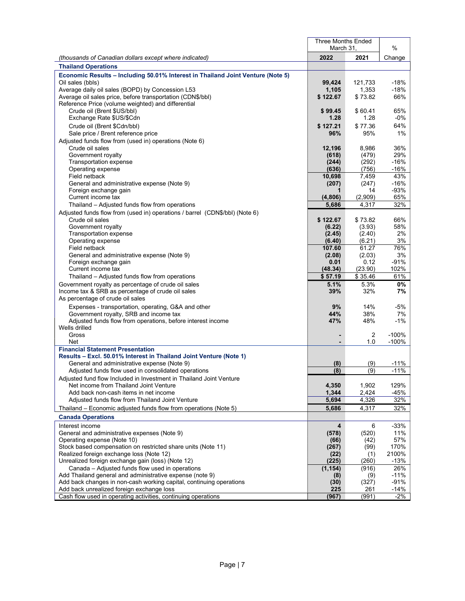|                                                                                                                                 | <b>Three Months Ended</b><br>March 31, | %                |                |
|---------------------------------------------------------------------------------------------------------------------------------|----------------------------------------|------------------|----------------|
| (thousands of Canadian dollars except where indicated)                                                                          | 2022                                   | 2021             | Change         |
| <b>Thailand Operations</b>                                                                                                      |                                        |                  |                |
| Economic Results - Including 50.01% Interest in Thailand Joint Venture (Note 5)                                                 |                                        |                  |                |
| Oil sales (bbls)                                                                                                                | 99,424                                 | 121,733          | $-18%$         |
| Average daily oil sales (BOPD) by Concession L53                                                                                | 1,105                                  | 1,353            | $-18%$         |
| Average oil sales price, before transportation (CDN\$/bbl)                                                                      | \$122.67                               | \$73.82          | 66%            |
| Reference Price (volume weighted) and differential                                                                              |                                        |                  |                |
| Crude oil (Brent \$US/bbl)<br>Exchange Rate \$US/\$Cdn                                                                          | \$99.45<br>1.28                        | \$60.41<br>1.28  | 65%<br>$-0\%$  |
| Crude oil (Brent \$Cdn/bbl)                                                                                                     | \$127.21                               | \$77.36          | 64%            |
| Sale price / Brent reference price                                                                                              | 96%                                    | 95%              | 1%             |
| Adjusted funds flow from (used in) operations (Note 6)                                                                          |                                        |                  |                |
| Crude oil sales                                                                                                                 | 12,196                                 | 8,986            | 36%            |
| Government royalty                                                                                                              | (618)                                  | (479)            | 29%            |
| Transportation expense                                                                                                          | (244)                                  | (292)            | -16%           |
| Operating expense                                                                                                               | (636)                                  | (756)            | $-16%$         |
| Field netback<br>General and administrative expense (Note 9)                                                                    | 10,698<br>(207)                        | 7,459<br>(247)   | 43%<br>$-16%$  |
| Foreign exchange gain                                                                                                           |                                        | 14               | $-93%$         |
| Current income tax                                                                                                              | (4,806)                                | (2,909)          | 65%            |
| Thailand - Adjusted funds flow from operations                                                                                  | 5,686                                  | 4,317            | 32%            |
| Adjusted funds flow from (used in) operations / barrel (CDN\$/bbl) (Note 6)                                                     |                                        |                  |                |
| Crude oil sales                                                                                                                 | \$122.67                               | \$73.82          | 66%            |
| Government royalty                                                                                                              | (6.22)                                 | (3.93)           | 58%            |
| Transportation expense<br>Operating expense                                                                                     | (2.45)<br>(6.40)                       | (2.40)<br>(6.21) | 2%<br>3%       |
| Field netback                                                                                                                   | 107.60                                 | 61.27            | 76%            |
| General and administrative expense (Note 9)                                                                                     | (2.08)                                 | (2.03)           | 3%             |
| Foreign exchange gain                                                                                                           | 0.01                                   | 0.12             | $-91%$         |
| Current income tax                                                                                                              | (48.34)                                | (23.90)          | 102%           |
| Thailand – Adjusted funds flow from operations                                                                                  | \$57.19                                | \$35.46          | 61%            |
| Government royalty as percentage of crude oil sales                                                                             | 5.1%                                   | 5.3%<br>32%      | 0%             |
| Income tax & SRB as percentage of crude oil sales<br>As percentage of crude oil sales                                           | 39%                                    |                  | 7%             |
| Expenses - transportation, operating, G&A and other                                                                             | 9%                                     | 14%              | -5%            |
| Government royalty, SRB and income tax                                                                                          | 44%                                    | 38%              | 7%             |
| Adjusted funds flow from operations, before interest income                                                                     | 47%                                    | 48%              | $-1%$          |
| Wells drilled                                                                                                                   |                                        |                  |                |
| Gross                                                                                                                           |                                        | $\overline{2}$   | $-100%$        |
| Net<br><b>Financial Statement Presentation</b>                                                                                  |                                        | 1.0              | $-100%$        |
| Results - Excl. 50.01% Interest in Thailand Joint Venture (Note 1)                                                              |                                        |                  |                |
| General and administrative expense (Note 9)                                                                                     | (8)                                    | (9)              | $-11%$         |
| Adjusted funds flow used in consolidated operations                                                                             | (8)                                    | (9)              | $-11%$         |
| Adjusted fund flow Included in Investment in Thailand Joint Venture                                                             |                                        |                  |                |
| Net income from Thailand Joint Venture                                                                                          | 4,350                                  | 1,902            | 129%           |
| Add back non-cash items in net income                                                                                           | 1,344                                  | 2,424            | $-45%$         |
| Adjusted funds flow from Thailand Joint Venture                                                                                 | 5,694                                  | 4,326            | 32%            |
| Thailand – Economic adjusted funds flow from operations (Note 5)                                                                | 5,686                                  | 4,317            | 32%            |
| <b>Canada Operations</b>                                                                                                        |                                        |                  |                |
| Interest income<br>General and administrative expenses (Note 9)                                                                 | 4                                      | 6<br>(520)       | $-33%$<br>11%  |
| Operating expense (Note 10)                                                                                                     | (578)<br>(66)                          | (42)             | 57%            |
| Stock based compensation on restricted share units (Note 11)                                                                    | (267)                                  | (99)             | 170%           |
| Realized foreign exchange loss (Note 12)                                                                                        | (22)                                   | (1)              | 2100%          |
| Unrealized foreign exchange gain (loss) (Note 12)                                                                               | (225)                                  | (260)            | $-13%$         |
| Canada - Adjusted funds flow used in operations                                                                                 | (1, 154)                               | (916)            | 26%            |
| Add Thailand general and administrative expense (note 9)<br>Add back changes in non-cash working capital, continuing operations | (8)<br>(30)                            | (9)<br>(327)     | $-11%$<br>-91% |
| Add back unrealized foreign exchange loss                                                                                       | 225                                    | 261              | -14%           |
| Cash flow used in operating activities, continuing operations                                                                   | (967)                                  | (991)            | $-2%$          |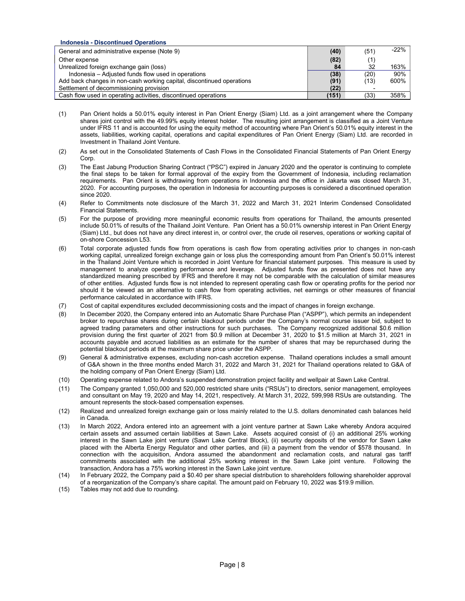# Indonesia - Discontinued Operations

| General and administrative expense (Note 9)                           | (40)  | (51) | $-22%$ |
|-----------------------------------------------------------------------|-------|------|--------|
| Other expense                                                         | (82)  |      |        |
| Unrealized foreign exchange gain (loss)                               | 84    | 32   | 163%   |
| Indonesia – Adjusted funds flow used in operations                    | (38)  | (20) | 90%    |
| Add back changes in non-cash working capital, discontinued operations | (91)  | (13) | 600%   |
| Settlement of decommissioning provision                               | (22)  |      |        |
| Cash flow used in operating activities, discontinued operations       | (151) | (33) | 358%   |

- (1) Pan Orient holds a 50.01% equity interest in Pan Orient Energy (Siam) Ltd. as a joint arrangement where the Company shares joint control with the 49.99% equity interest holder. The resulting joint arrangement is classified as a Joint Venture under IFRS 11 and is accounted for using the equity method of accounting where Pan Orient's 50.01% equity interest in the assets, liabilities, working capital, operations and capital expenditures of Pan Orient Energy (Siam) Ltd. are recorded in Investment in Thailand Joint Venture.
- (2) As set out in the Consolidated Statements of Cash Flows in the Consolidated Financial Statements of Pan Orient Energy Corp.
- (3) The East Jabung Production Sharing Contract ("PSC") expired in January 2020 and the operator is continuing to complete the final steps to be taken for formal approval of the expiry from the Government of Indonesia, including reclamation requirements. Pan Orient is withdrawing from operations in Indonesia and the office in Jakarta was closed March 31, 2020. For accounting purposes, the operation in Indonesia for accounting purposes is considered a discontinued operation since 2020.
- (4) Refer to Commitments note disclosure of the March 31, 2022 and March 31, 2021 Interim Condensed Consolidated Financial Statements.
- (5) For the purpose of providing more meaningful economic results from operations for Thailand, the amounts presented include 50.01% of results of the Thailand Joint Venture. Pan Orient has a 50.01% ownership interest in Pan Orient Energy (Siam) Ltd., but does not have any direct interest in, or control over, the crude oil reserves, operations or working capital of on-shore Concession L53.
- (6) Total corporate adjusted funds flow from operations is cash flow from operating activities prior to changes in non-cash working capital, unrealized foreign exchange gain or loss plus the corresponding amount from Pan Orient's 50.01% interest in the Thailand Joint Venture which is recorded in Joint Venture for financial statement purposes. This measure is used by management to analyze operating performance and leverage. Adjusted funds flow as presented does not have any standardized meaning prescribed by IFRS and therefore it may not be comparable with the calculation of similar measures of other entities. Adjusted funds flow is not intended to represent operating cash flow or operating profits for the period nor should it be viewed as an alternative to cash flow from operating activities, net earnings or other measures of financial performance calculated in accordance with IFRS.
- (7) Cost of capital expenditures excluded decommissioning costs and the impact of changes in foreign exchange.
- (8) In December 2020, the Company entered into an Automatic Share Purchase Plan ("ASPP"), which permits an independent broker to repurchase shares during certain blackout periods under the Company's normal course issuer bid, subject to agreed trading parameters and other instructions for such purchases. The Company recognized additional \$0.6 million provision during the first quarter of 2021 from \$0.9 million at December 31, 2020 to \$1.5 million at March 31, 2021 in accounts payable and accrued liabilities as an estimate for the number of shares that may be repurchased during the potential blackout periods at the maximum share price under the ASPP.
- (9) General & administrative expenses, excluding non-cash accretion expense. Thailand operations includes a small amount of G&A shown in the three months ended March 31, 2022 and March 31, 2021 for Thailand operations related to G&A of the holding company of Pan Orient Energy (Siam) Ltd.
- (10) Operating expense related to Andora's suspended demonstration project facility and wellpair at Sawn Lake Central.
- (11) The Company granted 1,050,000 and 520,000 restricted share units ("RSUs") to directors, senior management, employees and consultant on May 19, 2020 and May 14, 2021, respectively. At March 31, 2022, 599,998 RSUs are outstanding. The amount represents the stock-based compensation expenses.
- (12) Realized and unrealized foreign exchange gain or loss mainly related to the U.S. dollars denominated cash balances held in Canada.
- (13) In March 2022, Andora entered into an agreement with a joint venture partner at Sawn Lake whereby Andora acquired certain assets and assumed certain liabilities at Sawn Lake. Assets acquired consist of (i) an additional 25% working interest in the Sawn Lake joint venture (Sawn Lake Central Block), (ii) security deposits of the vendor for Sawn Lake placed with the Alberta Energy Regulator and other parties, and (iii) a payment from the vendor of \$578 thousand. In connection with the acquisition, Andora assumed the abandonment and reclamation costs, and natural gas tariff commitments associated with the additional 25% working interest in the Sawn Lake joint venture. Following the transaction, Andora has a 75% working interest in the Sawn Lake joint venture.
- (14) In February 2022, the Company paid a \$0.40 per share special distribution to shareholders following shareholder approval of a reorganization of the Company's share capital. The amount paid on February 10, 2022 was \$19.9 million.
- (15) Tables may not add due to rounding.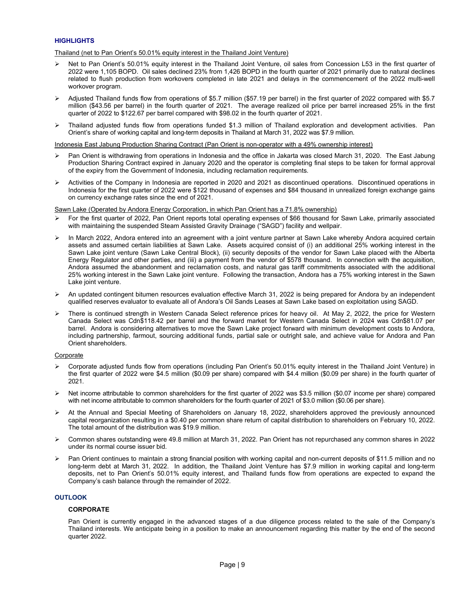# **HIGHLIGHTS**

## Thailand (net to Pan Orient's 50.01% equity interest in the Thailand Joint Venture)

- $\triangleright$  Net to Pan Orient's 50.01% equity interest in the Thailand Joint Venture, oil sales from Concession L53 in the first quarter of 2022 were 1,105 BOPD. Oil sales declined 23% from 1,426 BOPD in the fourth quarter of 2021 primarily due to natural declines related to flush production from workovers completed in late 2021 and delays in the commencement of the 2022 multi-well workover program.
- Adjusted Thailand funds flow from operations of \$5.7 million (\$57.19 per barrel) in the first quarter of 2022 compared with \$5.7 million (\$43.56 per barrel) in the fourth quarter of 2021. The average realized oil price per barrel increased 25% in the first quarter of 2022 to \$122.67 per barrel compared with \$98.02 in the fourth quarter of 2021.
- Thailand adjusted funds flow from operations funded \$1.3 million of Thailand exploration and development activities. Pan Orient's share of working capital and long-term deposits in Thailand at March 31, 2022 was \$7.9 million.

## Indonesia East Jabung Production Sharing Contract (Pan Orient is non-operator with a 49% ownership interest)

- Pan Orient is withdrawing from operations in Indonesia and the office in Jakarta was closed March 31, 2020. The East Jabung Production Sharing Contract expired in January 2020 and the operator is completing final steps to be taken for formal approval of the expiry from the Government of Indonesia, including reclamation requirements.
- $\triangleright$  Activities of the Company in Indonesia are reported in 2020 and 2021 as discontinued operations. Discontinued operations in Indonesia for the first quarter of 2022 were \$122 thousand of expenses and \$84 thousand in unrealized foreign exchange gains on currency exchange rates since the end of 2021.

Sawn Lake (Operated by Andora Energy Corporation, in which Pan Orient has a 71.8% ownership)

- For the first quarter of 2022, Pan Orient reports total operating expenses of \$66 thousand for Sawn Lake, primarily associated with maintaining the suspended Steam Assisted Gravity Drainage ("SAGD") facility and wellpair.
- In March 2022, Andora entered into an agreement with a joint venture partner at Sawn Lake whereby Andora acquired certain assets and assumed certain liabilities at Sawn Lake. Assets acquired consist of (i) an additional 25% working interest in the Sawn Lake joint venture (Sawn Lake Central Block), (ii) security deposits of the vendor for Sawn Lake placed with the Alberta Energy Regulator and other parties, and (iii) a payment from the vendor of \$578 thousand. In connection with the acquisition, Andora assumed the abandonment and reclamation costs, and natural gas tariff commitments associated with the additional 25% working interest in the Sawn Lake joint venture. Following the transaction, Andora has a 75% working interest in the Sawn Lake joint venture.
- An updated contingent bitumen resources evaluation effective March 31, 2022 is being prepared for Andora by an independent qualified reserves evaluator to evaluate all of Andora's Oil Sands Leases at Sawn Lake based on exploitation using SAGD.
- There is continued strength in Western Canada Select reference prices for heavy oil. At May 2, 2022, the price for Western Canada Select was Cdn\$118.42 per barrel and the forward market for Western Canada Select in 2024 was Cdn\$81.07 per barrel. Andora is considering alternatives to move the Sawn Lake project forward with minimum development costs to Andora, including partnership, farmout, sourcing additional funds, partial sale or outright sale, and achieve value for Andora and Pan Orient shareholders.

## Corporate

- Corporate adjusted funds flow from operations (including Pan Orient's 50.01% equity interest in the Thailand Joint Venture) in the first quarter of 2022 were \$4.5 million (\$0.09 per share) compared with \$4.4 million (\$0.09 per share) in the fourth quarter of 2021.
- $\triangleright$  Net income attributable to common shareholders for the first quarter of 2022 was \$3.5 million (\$0.07 income per share) compared with net income attributable to common shareholders for the fourth quarter of 2021 of \$3.0 million (\$0.06 per share).
- At the Annual and Special Meeting of Shareholders on January 18, 2022, shareholders approved the previously announced capital reorganization resulting in a \$0.40 per common share return of capital distribution to shareholders on February 10, 2022. The total amount of the distribution was \$19.9 million.
- Common shares outstanding were 49.8 million at March 31, 2022. Pan Orient has not repurchased any common shares in 2022 under its normal course issuer bid.
- Pan Orient continues to maintain a strong financial position with working capital and non-current deposits of \$11.5 million and no long-term debt at March 31, 2022. In addition, the Thailand Joint Venture has \$7.9 million in working capital and long-term deposits, net to Pan Orient's 50.01% equity interest, and Thailand funds flow from operations are expected to expand the Company's cash balance through the remainder of 2022.

# **OUTLOOK**

## **CORPORATE**

Pan Orient is currently engaged in the advanced stages of a due diligence process related to the sale of the Company's Thailand interests. We anticipate being in a position to make an announcement regarding this matter by the end of the second quarter 2022.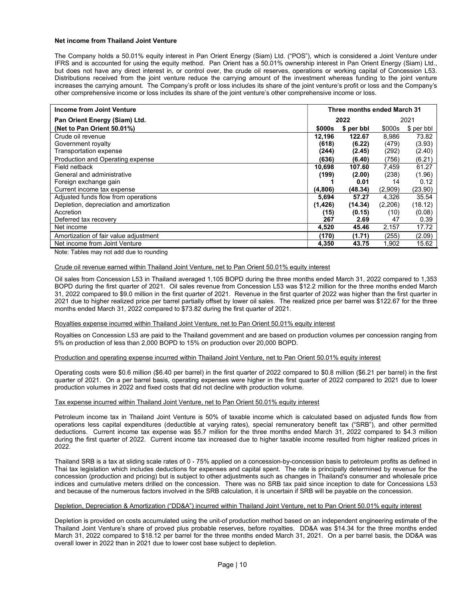## Net income from Thailand Joint Venture

The Company holds a 50.01% equity interest in Pan Orient Energy (Siam) Ltd. ("POS"), which is considered a Joint Venture under IFRS and is accounted for using the equity method. Pan Orient has a 50.01% ownership interest in Pan Orient Energy (Siam) Ltd., but does not have any direct interest in, or control over, the crude oil reserves, operations or working capital of Concession L53. Distributions received from the joint venture reduce the carrying amount of the investment whereas funding to the joint venture increases the carrying amount. The Company's profit or loss includes its share of the joint venture's profit or loss and the Company's other comprehensive income or loss includes its share of the joint venture's other comprehensive income or loss.

| Income from Joint Venture                | Three months ended March 31 |            |         |            |
|------------------------------------------|-----------------------------|------------|---------|------------|
| Pan Orient Energy (Siam) Ltd.            | 2022<br>2021                |            |         |            |
| (Net to Pan Orient 50.01%)               | \$000s                      | \$ per bbl | \$000s  | \$ per bbl |
| Crude oil revenue                        | 12.196                      | 122.67     | 8,986   | 73.82      |
| Government royalty                       | (618)                       | (6.22)     | (479)   | (3.93)     |
| Transportation expense                   | (244)                       | (2.45)     | (292)   | (2.40)     |
| Production and Operating expense         | (636)                       | (6.40)     | (756)   | (6.21)     |
| Field netback                            | 10,698                      | 107.60     | 7,459   | 61.27      |
| General and administrative               | (199)                       | (2.00)     | (238)   | (1.96)     |
| Foreign exchange gain                    |                             | 0.01       | 14      | 0.12       |
| Current income tax expense               | (4,806)                     | (48.34)    | (2,909) | (23.90)    |
| Adjusted funds flow from operations      | 5,694                       | 57.27      | 4,326   | 35.54      |
| Depletion, depreciation and amortization | (1,426)                     | (14.34)    | (2,206) | (18.12)    |
| Accretion                                | (15)                        | (0.15)     | (10)    | (0.08)     |
| Deferred tax recovery                    | 267                         | 2.69       | 47      | 0.39       |
| Net income                               | 4,520                       | 45.46      | 2,157   | 17.72      |
| Amortization of fair value adjustment    | (170)                       | (1.71)     | (255)   | (2.09)     |
| Net income from Joint Venture            | 4,350                       | 43.75      | 1,902   | 15.62      |

Note: Tables may not add due to rounding

## Crude oil revenue earned within Thailand Joint Venture, net to Pan Orient 50.01% equity interest

Oil sales from Concession L53 in Thailand averaged 1,105 BOPD during the three months ended March 31, 2022 compared to 1,353 BOPD during the first quarter of 2021. Oil sales revenue from Concession L53 was \$12.2 million for the three months ended March 31, 2022 compared to \$9.0 million in the first quarter of 2021. Revenue in the first quarter of 2022 was higher than the first quarter in 2021 due to higher realized price per barrel partially offset by lower oil sales. The realized price per barrel was \$122.67 for the three months ended March 31, 2022 compared to \$73.82 during the first quarter of 2021.

## Royalties expense incurred within Thailand Joint Venture, net to Pan Orient 50.01% equity interest

Royalties on Concession L53 are paid to the Thailand government and are based on production volumes per concession ranging from 5% on production of less than 2,000 BOPD to 15% on production over 20,000 BOPD.

#### Production and operating expense incurred within Thailand Joint Venture, net to Pan Orient 50.01% equity interest

Operating costs were \$0.6 million (\$6.40 per barrel) in the first quarter of 2022 compared to \$0.8 million (\$6.21 per barrel) in the first quarter of 2021. On a per barrel basis, operating expenses were higher in the first quarter of 2022 compared to 2021 due to lower production volumes in 2022 and fixed costs that did not decline with production volume.

#### Tax expense incurred within Thailand Joint Venture, net to Pan Orient 50.01% equity interest

Petroleum income tax in Thailand Joint Venture is 50% of taxable income which is calculated based on adjusted funds flow from operations less capital expenditures (deductible at varying rates), special remuneratory benefit tax ("SRB"), and other permitted deductions. Current income tax expense was \$5.7 million for the three months ended March 31, 2022 compared to \$4.3 million during the first quarter of 2022. Current income tax increased due to higher taxable income resulted from higher realized prices in 2022.

Thailand SRB is a tax at sliding scale rates of 0 - 75% applied on a concession-by-concession basis to petroleum profits as defined in Thai tax legislation which includes deductions for expenses and capital spent. The rate is principally determined by revenue for the concession (production and pricing) but is subject to other adjustments such as changes in Thailand's consumer and wholesale price indices and cumulative meters drilled on the concession. There was no SRB tax paid since inception to date for Concessions L53 and because of the numerous factors involved in the SRB calculation, it is uncertain if SRB will be payable on the concession.

#### Depletion, Depreciation & Amortization ("DD&A") incurred within Thailand Joint Venture, net to Pan Orient 50.01% equity interest

Depletion is provided on costs accumulated using the unit-of production method based on an independent engineering estimate of the Thailand Joint Venture's share of proved plus probable reserves, before royalties. DD&A was \$14.34 for the three months ended March 31, 2022 compared to \$18.12 per barrel for the three months ended March 31, 2021. On a per barrel basis, the DD&A was overall lower in 2022 than in 2021 due to lower cost base subject to depletion.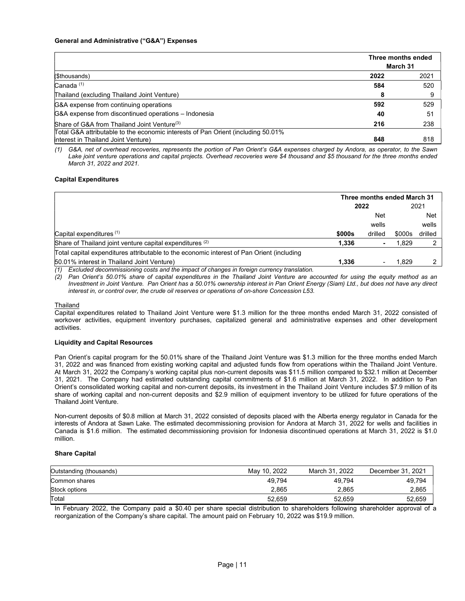|                                                                                  | Three months ended |      |
|----------------------------------------------------------------------------------|--------------------|------|
|                                                                                  | March 31           |      |
| (\$thousands)                                                                    | 2022               | 2021 |
| $Canada$ $(1)$                                                                   | 584                | 520  |
| Thailand (excluding Thailand Joint Venture)                                      |                    | 9    |
| G&A expense from continuing operations                                           | 592                | 529  |
| G&A expense from discontinued operations - Indonesia                             | 40                 | 51   |
| Share of G&A from Thailand Joint Venture <sup>(3)</sup>                          | 216                | 238  |
| Total G&A attributable to the economic interests of Pan Orient (including 50.01% |                    |      |
| Interest in Thailand Joint Venture)                                              | 848                | 818  |

(1) G&A, net of overhead recoveries, represents the portion of Pan Orient's G&A expenses charged by Andora, as operator, to the Sawn Lake joint venture operations and capital projects. Overhead recoveries were \$4 thousand and \$5 thousand for the three months ended March 31, 2022 and 2021.

#### Capital Expenditures

|                                                                                                  |            | Three months ended March 31 |        |            |  |
|--------------------------------------------------------------------------------------------------|------------|-----------------------------|--------|------------|--|
|                                                                                                  | 2022       |                             |        | 2021       |  |
|                                                                                                  | <b>Net</b> |                             |        | <b>Net</b> |  |
|                                                                                                  |            | wells                       |        | wells      |  |
| Capital expenditures $(1)$                                                                       | \$000s     | drilled                     | \$000s | drilled    |  |
| Share of Thailand joint venture capital expenditures (2)                                         | 1.336      |                             | 1.829  |            |  |
| Total capital expenditures attributable to the economic interest of Pan Orient (including        |            |                             |        |            |  |
| 50.01% interest in Thailand Joint Venture)                                                       | 1.336      |                             | 1.829  |            |  |
| Excluded decommissioning costs and the impact of changes in foreign currency translation.<br>(1) |            |                             |        |            |  |

(2) Pan Orient's 50.01% share of capital expenditures in the Thailand Joint Venture are accounted for using the equity method as an Investment in Joint Venture. Pan Orient has a 50.01% ownership interest in Pan Orient Energy (Siam) Ltd., but does not have any direct interest in, or control over, the crude oil reserves or operations of on-shore Concession L53.

#### Thailand

Capital expenditures related to Thailand Joint Venture were \$1.3 million for the three months ended March 31, 2022 consisted of workover activities, equipment inventory purchases, capitalized general and administrative expenses and other development activities.

#### Liquidity and Capital Resources

Pan Orient's capital program for the 50.01% share of the Thailand Joint Venture was \$1.3 million for the three months ended March 31, 2022 and was financed from existing working capital and adjusted funds flow from operations within the Thailand Joint Venture. At March 31, 2022 the Company's working capital plus non-current deposits was \$11.5 million compared to \$32.1 million at December 31, 2021. The Company had estimated outstanding capital commitments of \$1.6 million at March 31, 2022. In addition to Pan Orient's consolidated working capital and non-current deposits, its investment in the Thailand Joint Venture includes \$7.9 million of its share of working capital and non-current deposits and \$2.9 million of equipment inventory to be utilized for future operations of the Thailand Joint Venture.

Non-current deposits of \$0.8 million at March 31, 2022 consisted of deposits placed with the Alberta energy regulator in Canada for the interests of Andora at Sawn Lake. The estimated decommissioning provision for Andora at March 31, 2022 for wells and facilities in Canada is \$1.6 million. The estimated decommissioning provision for Indonesia discontinued operations at March 31, 2022 is \$1.0 million.

#### Share Capital

| Outstanding (thousands) | May 10, 2022 | March 31, 2022 | December 31, 2021 |
|-------------------------|--------------|----------------|-------------------|
| Common shares           | 49.794       | 49.794         | 49.794            |
| Stock options           | 2.865        | 2.865          | 2,865             |
| Total                   | 52,659       | 52,659         | 52,659            |

In February 2022, the Company paid a \$0.40 per share special distribution to shareholders following shareholder approval of a reorganization of the Company's share capital. The amount paid on February 10, 2022 was \$19.9 million.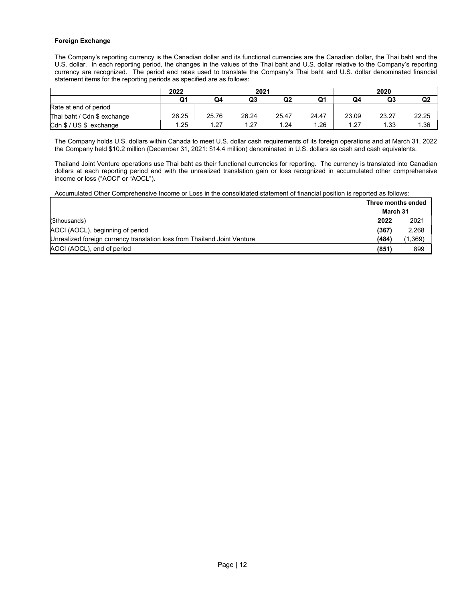# Foreign Exchange

The Company's reporting currency is the Canadian dollar and its functional currencies are the Canadian dollar, the Thai baht and the U.S. dollar. In each reporting period, the changes in the values of the Thai baht and U.S. dollar relative to the Company's reporting currency are recognized. The period end rates used to translate the Company's Thai baht and U.S. dollar denominated financial statement items for the reporting periods as specified are as follows:

|                             | 2022  | 2021  |       |       |       |       | 2020  |                |
|-----------------------------|-------|-------|-------|-------|-------|-------|-------|----------------|
|                             | Q1    | Q4    | Q3    | Q2    | Q1    | Q4    | Q3    | Q <sub>2</sub> |
| Rate at end of period       |       |       |       |       |       |       |       |                |
| Thai baht / Cdn \$ exchange | 26.25 | 25.76 | 26.24 | 25.47 | 24.47 | 23.09 | 23.27 | 22.25          |
| Cdn \$ / US \$ exchange     | .25   | 1.27  | 1.27  | 1.24  | 1.26  | 1.27  | 1.33  | 1.36           |

The Company holds U.S. dollars within Canada to meet U.S. dollar cash requirements of its foreign operations and at March 31, 2022 the Company held \$10.2 million (December 31, 2021: \$14.4 million) denominated in U.S. dollars as cash and cash equivalents.

Thailand Joint Venture operations use Thai baht as their functional currencies for reporting. The currency is translated into Canadian dollars at each reporting period end with the unrealized translation gain or loss recognized in accumulated other comprehensive income or loss ("AOCI" or "AOCL").

Accumulated Other Comprehensive Income or Loss in the consolidated statement of financial position is reported as follows:

|                                                                          | Three months ended |         |  |
|--------------------------------------------------------------------------|--------------------|---------|--|
|                                                                          | March 31           |         |  |
| (\$thousands)                                                            | 2022               | 2021    |  |
| AOCI (AOCL), beginning of period                                         | (367)              | 2,268   |  |
| Unrealized foreign currency translation loss from Thailand Joint Venture | (484)              | (1,369) |  |
| AOCI (AOCL), end of period                                               | (851)              | 899     |  |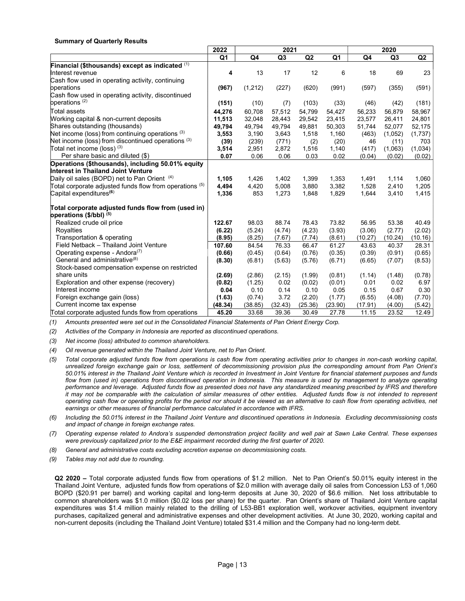# Summary of Quarterly Results

|                                                           | 2022    | 2021    |                |                |         |         |                |                |
|-----------------------------------------------------------|---------|---------|----------------|----------------|---------|---------|----------------|----------------|
|                                                           | Q1      | Q4      | Q <sub>3</sub> | Q <sub>2</sub> | Q1      | Q4      | Q <sub>3</sub> | Q <sub>2</sub> |
| Financial (\$thousands) except as indicated (1)           |         |         |                |                |         |         |                |                |
| Interest revenue                                          | 4       | 13      | 17             | 12             | 6       | 18      | 69             | 23             |
| Cash flow used in operating activity, continuing          |         |         |                |                |         |         |                |                |
| bperations                                                | (967)   | (1,212) | (227)          | (620)          | (991)   | (597)   | (355)          | (591)          |
| Cash flow used in operating activity, discontinued        |         |         |                |                |         |         |                |                |
| operations <sup>(2)</sup>                                 | (151)   | (10)    | (7)            | (103)          | (33)    | (46)    | (42)           | (181)          |
| Total assets                                              | 44,276  | 60,708  | 57,512         | 54,799         | 54,427  | 56,233  | 56,879         | 58,967         |
| Working capital & non-current deposits                    | 11,513  | 32,048  | 28,443         | 29,542         | 23,415  | 23,577  | 26,411         | 24,801         |
| Shares outstanding (thousands)                            | 49,794  | 49,794  | 49,794         | 49,881         | 50,303  | 51,744  | 52,077         | 52,175         |
| Net income (loss) from continuing operations $(3)$        | 3,553   | 3,190   | 3,643          | 1,518          | 1,160   | (463)   | (1,052)        | (1,737)        |
| Net income (loss) from discontinued operations (3)        | (39)    | (239)   | (771)          | (2)            | (20)    | 46      | (11)           | 703            |
| Total net income (loss) $(3)$                             | 3,514   | 2,951   | 2,872          | 1,516          | 1,140   | (417)   | (1,063)        | (1,034)        |
| Per share basic and diluted (\$)                          | 0.07    | 0.06    | 0.06           | 0.03           | 0.02    | (0.04)  | (0.02)         | (0.02)         |
| Operations (\$thousands), including 50.01% equity         |         |         |                |                |         |         |                |                |
| Interest in Thailand Joint Venture                        |         |         |                |                |         |         |                |                |
| Daily oil sales (BOPD) net to Pan Orient (4)              | 1,105   | 1,426   | 1,402          | 1,399          | 1,353   | 1,491   | 1,114          | 1,060          |
| Total corporate adjusted funds flow from operations $(5)$ | 4,494   | 4,420   | 5,008          | 3,880          | 3,382   | 1,528   | 2,410          | 1,205          |
| Capital expenditures <sup>(6)</sup>                       | 1,336   | 853     | 1,273          | 1,848          | 1,829   | 1,644   | 3,410          | 1,415          |
| Total corporate adjusted funds flow from (used in)        |         |         |                |                |         |         |                |                |
| operations (\$/bbl) (5)                                   |         |         |                |                |         |         |                |                |
| Realized crude oil price                                  | 122.67  | 98.03   | 88.74          | 78.43          | 73.82   | 56.95   | 53.38          | 40.49          |
| Royalties                                                 | (6.22)  | (5.24)  | (4.74)         | (4.23)         | (3.93)  | (3.06)  | (2.77)         | (2.02)         |
| Transportation & operating                                | (8.95)  | (8.25)  | (7.67)         | (7.74)         | (8.61)  | (10.27) | (10.24)        | (10.16)        |
| Field Netback - Thailand Joint Venture                    | 107.60  | 84.54   | 76.33          | 66.47          | 61.27   | 43.63   | 40.37          | 28.31          |
| Operating expense - Andora <sup>(7)</sup>                 | (0.66)  | (0.45)  | (0.64)         | (0.76)         | (0.35)  | (0.39)  | (0.91)         | (0.65)         |
| General and administrative <sup>(8)</sup>                 | (8.30)  | (6.81)  | (5.63)         | (5.76)         | (6.71)  | (6.65)  | (7.07)         | (8.53)         |
| Stock-based compensation expense on restricted            |         |         |                |                |         |         |                |                |
| share units                                               | (2.69)  | (2.86)  | (2.15)         | (1.99)         | (0.81)  | (1.14)  | (1.48)         | (0.78)         |
| Exploration and other expense (recovery)                  | (0.82)  | (1.25)  | 0.02           | (0.02)         | (0.01)  | 0.01    | 0.02           | 6.97           |
| Interest income                                           | 0.04    | 0.10    | 0.14           | 0.10           | 0.05    | 0.15    | 0.67           | 0.30           |
| Foreign exchange gain (loss)                              | (1.63)  | (0.74)  | 3.72           | (2.20)         | (1.77)  | (6.55)  | (4.08)         | (7.70)         |
| Current income tax expense                                | (48.34) | (38.85) | (32.43)        | (25.36)        | (23.90) | (17.91) | (4.00)         | (5.42)         |
| Total corporate adjusted funds flow from operations       | 45.20   | 33.68   | 39.36          | 30.49          | 27.78   | 11.15   | 23.52          | 12.49          |

(1) Amounts presented were set out in the Consolidated Financial Statements of Pan Orient Energy Corp.

(2) Activities of the Company in Indonesia are reported as discontinued operations.

(3) Net income (loss) attributed to common shareholders.

(4) Oil revenue generated within the Thailand Joint Venture, net to Pan Orient.

- (5) Total corporate adjusted funds flow from operations is cash flow from operating activities prior to changes in non-cash working capital, unrealized foreign exchange gain or loss, settlement of decommissioning provision plus the corresponding amount from Pan Orient's 50.01% interest in the Thailand Joint Venture which is recorded in Investment in Joint Venture for financial statement purposes and funds flow from (used in) operations from discontinued operation in Indonesia. This measure is used by management to analyze operating performance and leverage. Adjusted funds flow as presented does not have any standardized meaning prescribed by IFRS and therefore it may not be comparable with the calculation of similar measures of other entities. Adjusted funds flow is not intended to represent operating cash flow or operating profits for the period nor should it be viewed as an alternative to cash flow from operating activities, net earnings or other measures of financial performance calculated in accordance with IFRS.
- (6) Including the 50.01% interest in the Thailand Joint Venture and discontinued operations in Indonesia. Excluding decommissioning costs and impact of change in foreign exchange rates.
- (7) Operating expense related to Andora's suspended demonstration project facility and well pair at Sawn Lake Central. These expenses were previously capitalized prior to the E&E impairment recorded during the first quarter of 2020.
- (8) General and administrative costs excluding accretion expense on decommissioning costs.
- (9) Tables may not add due to rounding.

Q2 2020 – Total corporate adjusted funds flow from operations of \$1.2 million. Net to Pan Orient's 50.01% equity interest in the Thailand Joint Venture, adjusted funds flow from operations of \$2.0 million with average daily oil sales from Concession L53 of 1,060 BOPD (\$20.91 per barrel) and working capital and long-term deposits at June 30, 2020 of \$6.6 million. Net loss attributable to common shareholders was \$1.0 million (\$0.02 loss per share) for the quarter. Pan Orient's share of Thailand Joint Venture capital expenditures was \$1.4 million mainly related to the drilling of L53-BB1 exploration well, workover activities, equipment inventory purchases, capitalized general and administrative expenses and other development activities. At June 30, 2020, working capital and non-current deposits (including the Thailand Joint Venture) totaled \$31.4 million and the Company had no long-term debt.